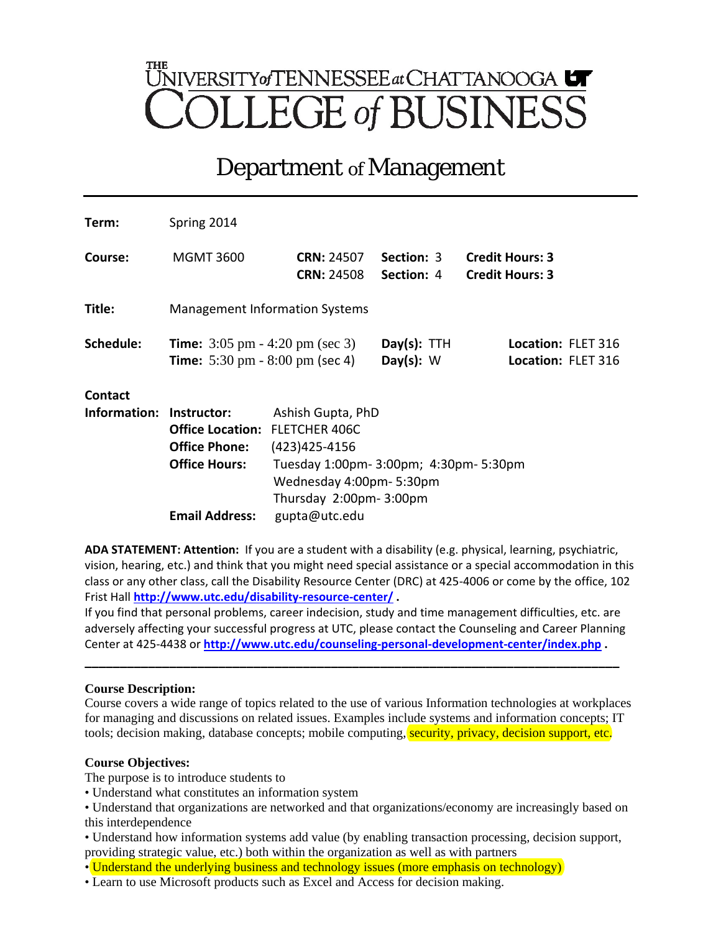# UNIVERSITY of TENNESSEE at CHATTANOOGA LLEGE of BUSINE

# Department *of* Management

| Term:        | Spring 2014                                                                                                                   |                                                                                             |                                 |                                                  |  |  |
|--------------|-------------------------------------------------------------------------------------------------------------------------------|---------------------------------------------------------------------------------------------|---------------------------------|--------------------------------------------------|--|--|
| Course:      | <b>MGMT 3600</b>                                                                                                              | <b>CRN: 24507</b><br><b>CRN: 24508</b>                                                      | Section: 3<br><b>Section: 4</b> | <b>Credit Hours: 3</b><br><b>Credit Hours: 3</b> |  |  |
| Title:       | <b>Management Information Systems</b>                                                                                         |                                                                                             |                                 |                                                  |  |  |
| Schedule:    | <b>Time:</b> $3:05 \text{ pm } -4:20 \text{ pm } (\text{sec } 3)$<br><b>Time:</b> $5:30 \text{ pm} - 8:00 \text{ pm}$ (sec 4) |                                                                                             | $Day(s):$ TTH<br>Day $(s)$ : W  | Location: FLET 316<br>Location: FLET 316         |  |  |
| Contact      |                                                                                                                               |                                                                                             |                                 |                                                  |  |  |
| Information: | Instructor:                                                                                                                   | Ashish Gupta, PhD                                                                           |                                 |                                                  |  |  |
|              | <b>Office Location:</b>                                                                                                       | <b>FLETCHER 406C</b><br>(423) 425-4156                                                      |                                 |                                                  |  |  |
|              | <b>Office Phone:</b>                                                                                                          |                                                                                             |                                 |                                                  |  |  |
|              | <b>Office Hours:</b>                                                                                                          | Tuesday 1:00pm- 3:00pm; 4:30pm- 5:30pm<br>Wednesday 4:00pm-5:30pm<br>Thursday 2:00pm-3:00pm |                                 |                                                  |  |  |
|              |                                                                                                                               |                                                                                             |                                 |                                                  |  |  |
|              |                                                                                                                               |                                                                                             |                                 |                                                  |  |  |
|              | <b>Email Address:</b>                                                                                                         | gupta@utc.edu                                                                               |                                 |                                                  |  |  |

**ADA STATEMENT: Attention:** If you are a student with a disability (e.g. physical, learning, psychiatric, vision, hearing, etc.) and think that you might need special assistance or a special accommodation in this class or any other class, call the Disability Resource Center (DRC) at 425-4006 or come by the office, 102 Frist Hall **<http://www.utc.edu/disability-resource-center/> .**

If you find that personal problems, career indecision, study and time management difficulties, etc. are adversely affecting your successful progress at UTC, please contact the Counseling and Career Planning Center at 425-4438 or **<http://www.utc.edu/counseling-personal-development-center/index.php> .** 

**\_\_\_\_\_\_\_\_\_\_\_\_\_\_\_\_\_\_\_\_\_\_\_\_\_\_\_\_\_\_\_\_\_\_\_\_\_\_\_\_\_\_\_\_\_\_\_\_\_\_\_\_\_\_\_\_\_\_\_\_\_\_\_\_\_\_\_\_\_\_\_\_\_\_\_\_**

# **Course Description:**

Course covers a wide range of topics related to the use of various Information technologies at workplaces for managing and discussions on related issues. Examples include systems and information concepts; IT tools; decision making, database concepts; mobile computing, security, privacy, decision support, etc.

# **Course Objectives:**

The purpose is to introduce students to

• Understand what constitutes an information system

• Understand that organizations are networked and that organizations/economy are increasingly based on this interdependence

• Understand how information systems add value (by enabling transaction processing, decision support, providing strategic value, etc.) both within the organization as well as with partners

• Understand the underlying business and technology issues (more emphasis on technology)

• Learn to use Microsoft products such as Excel and Access for decision making.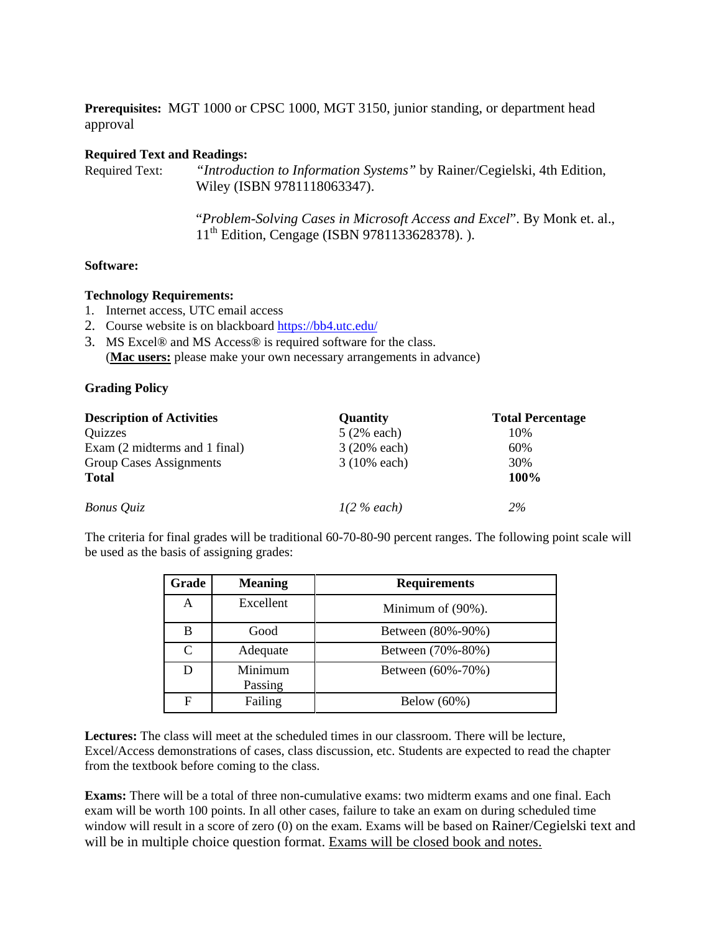**Prerequisites:** MGT 1000 or CPSC 1000, MGT 3150, junior standing, or department head approval

#### **Required Text and Readings:**

Required Text: *"Introduction to Information Systems"* by Rainer/Cegielski, 4th Edition, Wiley (ISBN 9781118063347).

> "*Problem-Solving Cases in Microsoft Access and Excel*". By Monk et. al., 11th Edition, Cengage (ISBN 9781133628378). ).

### **Software:**

#### **Technology Requirements:**

- 1. Internet access, UTC email access
- 2. Course website is on blackboard<https://bb4.utc.edu/>
- 3. MS Excel® and MS Access® is required software for the class. (**Mac users:** please make your own necessary arrangements in advance)

#### **Grading Policy**

| <b>Description of Activities</b> | <b>Quantity</b> | <b>Total Percentage</b> |  |
|----------------------------------|-----------------|-------------------------|--|
| Quizzes                          | $5(2\%$ each)   | 10%                     |  |
| Exam (2 midterms and 1 final)    | 3 (20% each)    | 60%                     |  |
| Group Cases Assignments          | $3(10\%$ each)  | 30%                     |  |
| <b>Total</b>                     |                 | 100%                    |  |
| Bonus Quiz                       | $1(2\%$ each)   | 2%                      |  |

The criteria for final grades will be traditional 60-70-80-90 percent ranges. The following point scale will be used as the basis of assigning grades:

| Grade        | <b>Meaning</b>     | <b>Requirements</b> |
|--------------|--------------------|---------------------|
| A            | Excellent          | Minimum of (90%).   |
| B            | Good               | Between (80%-90%)   |
| $\mathsf{C}$ | Adequate           | Between (70%-80%)   |
| D            | Minimum<br>Passing | Between (60%-70%)   |
| F            | Failing            | Below $(60\%)$      |

**Lectures:** The class will meet at the scheduled times in our classroom. There will be lecture, Excel/Access demonstrations of cases, class discussion, etc. Students are expected to read the chapter from the textbook before coming to the class.

**Exams:** There will be a total of three non-cumulative exams: two midterm exams and one final. Each exam will be worth 100 points. In all other cases, failure to take an exam on during scheduled time window will result in a score of zero (0) on the exam. Exams will be based on Rainer/Cegielski text and will be in multiple choice question format. Exams will be closed book and notes.